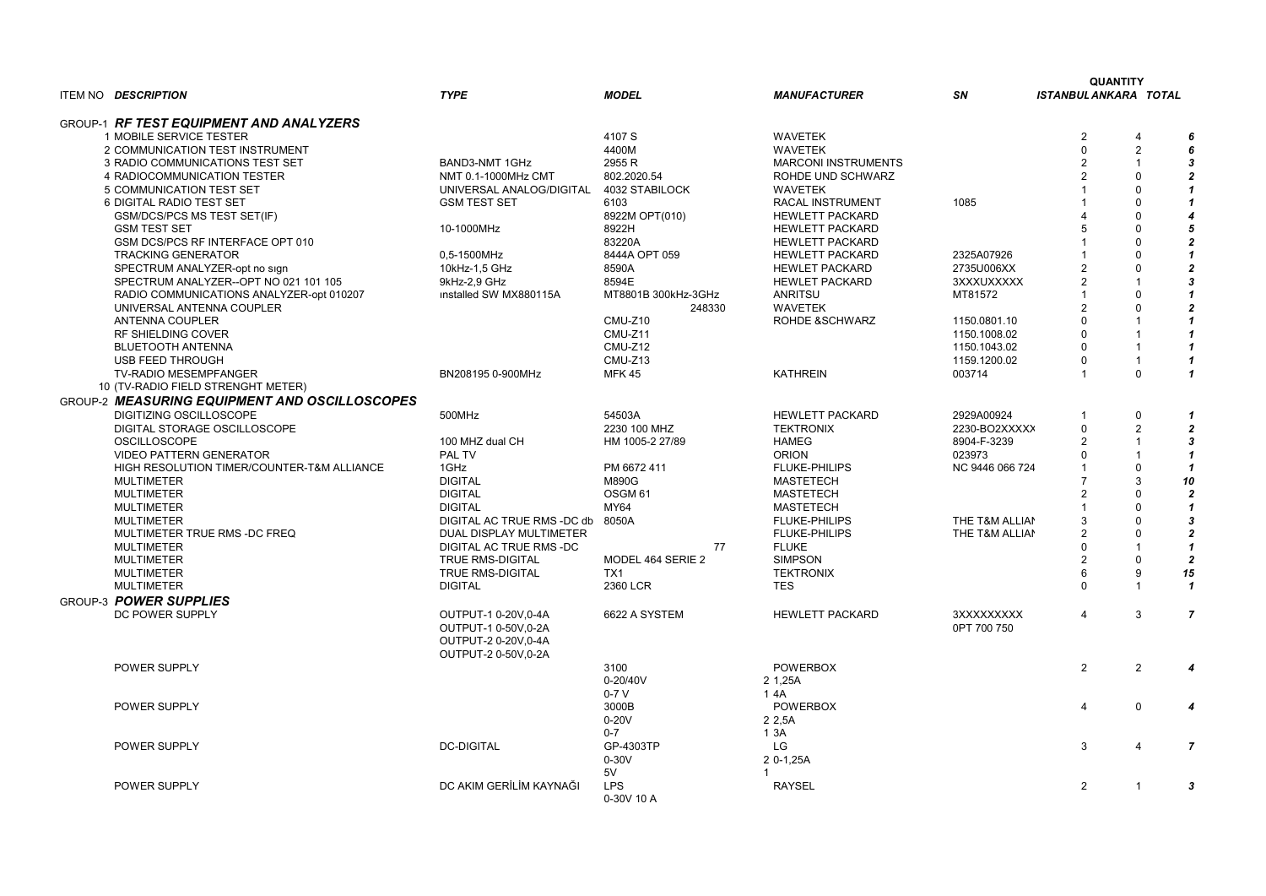## SN ISTANBULANKARA TOTAL QUANTITY

| 1085<br>2325A07926<br>2735U006XX<br><b>BXXXUXXXXX</b><br>AT81572<br>1150.0801.10<br>1150.1008.02<br>1150.1043.02<br>159.1200.02<br>03714 | $\overline{c}$<br>0<br>$\overline{c}$<br>$\overline{c}$<br>$\mathbf{1}$<br>$\mathbf{1}$<br>4<br>5<br>1<br>1<br>$\overline{c}$<br>$\overline{c}$<br>$\mathbf 1$<br>$\overline{c}$<br>0<br>0<br>0<br>0<br>1 | 4<br>$\overline{c}$<br>1<br>0<br>0<br>0<br>0<br>0<br>0<br>0<br>0<br>1<br>0<br>0<br>1<br>1<br>1<br>1<br>0 | 6<br>6<br>3<br>$\mathbf 2$<br>1<br>1<br>4<br>5<br>$\boldsymbol{2}$<br>1<br>2<br>3<br>1<br>$\boldsymbol{2}$<br>1<br>1<br>1<br>1<br>1 |
|------------------------------------------------------------------------------------------------------------------------------------------|-----------------------------------------------------------------------------------------------------------------------------------------------------------------------------------------------------------|----------------------------------------------------------------------------------------------------------|-------------------------------------------------------------------------------------------------------------------------------------|
| 2929A00924<br>2230-BO2XXXXX<br>3904-F-3239<br>)23973<br>VC 9446 066 724<br>THE T&M ALLIAN<br>THE T&M ALLIAN                              | 1<br>0<br>$\overline{c}$<br>0<br>$\overline{1}$<br>$\overline{7}$<br>$\overline{c}$<br>1<br>3<br>$\overline{c}$<br>$\overline{0}$<br>$\overline{c}$<br>6<br>0                                             | 0<br>2<br>$\mathbf{1}$<br>$\mathbf{1}$<br>0<br>3<br>0<br>0<br>0<br>0<br>1<br>0<br>9<br>1                 | 1<br>2<br>3<br>1<br>1<br>10<br>2<br>1<br>3<br>$\boldsymbol{2}$<br>1<br>$\mathbf{2}$<br>15<br>1                                      |
| BXXXXXXXXX<br>PT 700 750                                                                                                                 | 4                                                                                                                                                                                                         | 3                                                                                                        | 7                                                                                                                                   |
|                                                                                                                                          | 2                                                                                                                                                                                                         | 2                                                                                                        | 4                                                                                                                                   |
|                                                                                                                                          | 4                                                                                                                                                                                                         | 0                                                                                                        | 4                                                                                                                                   |
|                                                                                                                                          | 3                                                                                                                                                                                                         | 4                                                                                                        | 7                                                                                                                                   |
|                                                                                                                                          | $\overline{\mathbf{c}}$                                                                                                                                                                                   | 1                                                                                                        | 3                                                                                                                                   |

| GROUP-1 RF TEST EQUIPMENT AND ANALYZERS<br><b>WAVETEK</b><br>1 MOBILE SERVICE TESTER<br>4107 S<br>4400M<br><b>WAVETEK</b><br>2 COMMUNICATION TEST INSTRUMENT<br>2955 R<br>3 RADIO COMMUNICATIONS TEST SET<br><b>BAND3-NMT 1GHz</b><br><b>MARCONI INSTRUMENTS</b><br>4 RADIOCOMMUNICATION TESTER<br>NMT 0.1-1000MHz CMT<br>802.2020.54<br>ROHDE UND SCHWARZ<br>5 COMMUNICATION TEST SET<br>UNIVERSAL ANALOG/DIGITAL<br>4032 STABILOCK<br><b>WAVETEK</b><br>1085<br>6 DIGITAL RADIO TEST SET<br><b>GSM TEST SET</b><br>6103<br>RACAL INSTRUMENT<br><b>GSM/DCS/PCS MS TEST SET(IF)</b><br>8922M OPT(010)<br><b>HEWLETT PACKARD</b><br>10-1000MHz<br>8922H<br><b>HEWLETT PACKARD</b><br><b>GSM TEST SET</b><br>GSM DCS/PCS RF INTERFACE OPT 010<br>83220A<br><b>HEWLETT PACKARD</b><br><b>TRACKING GENERATOR</b><br>0,5-1500MHz<br>8444A OPT 059<br><b>HEWLETT PACKARD</b><br>2325A07926<br>SPECTRUM ANALYZER-opt no sign<br><b>HEWLET PACKARD</b><br>2735U006XX<br>10kHz-1,5 GHz<br>8590A<br>SPECTRUM ANALYZER--OPT NO 021 101 105<br>8594E<br>9kHz-2,9 GHz<br><b>HEWLET PACKARD</b><br>3XXXUXXXXX<br>RADIO COMMUNICATIONS ANALYZER-opt 010207<br>MT8801B 300kHz-3GHz<br>ANRITSU<br>$\Omega$<br>installed SW MX880115A<br>MT81572<br><b>WAVETEK</b><br>UNIVERSAL ANTENNA COUPLER<br>248330<br><b>ANTENNA COUPLER</b><br>CMU-Z10<br><b>ROHDE &amp;SCHWARZ</b><br>1150.0801.10<br>CMU-Z11<br>RF SHIELDING COVER<br>1150.1008.02<br>CMU-Z12<br><b>BLUETOOTH ANTENNA</b><br>1150.1043.02<br>CMU-Z13<br><b>USB FEED THROUGH</b><br>1159.1200.02<br><b>KATHREIN</b><br><b>TV-RADIO MESEMPFANGER</b><br>BN208195 0-900MHz<br><b>MFK 45</b><br>003714<br>10 (TV-RADIO FIELD STRENGHT METER)<br><b>GROUP-2 MEASURING EQUIPMENT AND OSCILLOSCOPES</b><br>54503A<br><b>DIGITIZING OSCILLOSCOPE</b><br>500MHz<br><b>HEWLETT PACKARD</b><br>2929A00924<br>DIGITAL STORAGE OSCILLOSCOPE<br>2230 100 MHZ<br><b>TEKTRONIX</b><br>2230-BO2XXXXX<br>100 MHZ dual CH<br><b>OSCILLOSCOPE</b><br>HM 1005-2 27/89<br>HAMEG<br>8904-F-3239<br><b>VIDEO PATTERN GENERATOR</b><br>PAL TV<br><b>ORION</b><br>023973<br>1GHz<br>PM 6672 411<br>$\Omega$<br>HIGH RESOLUTION TIMER/COUNTER-T&M ALLIANCE<br><b>FLUKE-PHILIPS</b><br>NC 9446 066 724<br>3<br><b>DIGITAL</b><br>M890G<br><b>MASTETECH</b><br><b>MULTIMETER</b><br>10<br><b>DIGITAL</b><br>OSGM <sub>61</sub><br><b>MASTETECH</b><br><b>MULTIMETER</b><br><b>DIGITAL</b><br>MY64<br><b>MULTIMETER</b><br><b>MASTETECH</b><br>DIGITAL AC TRUE RMS -DC db<br><b>MULTIMETER</b><br>8050A<br><b>FLUKE-PHILIPS</b><br>THE T&M ALLIAN<br>MULTIMETER TRUE RMS -DC FREQ<br>DUAL DISPLAY MULTIMETER<br><b>FLUKE-PHILIPS</b><br>THE T&M ALLIAN<br><b>FLUKE</b><br><b>MULTIMETER</b><br>DIGITAL AC TRUE RMS -DC<br>77<br><b>MULTIMETER</b><br><b>TRUE RMS-DIGITAL</b><br>MODEL 464 SERIE 2<br><b>SIMPSON</b><br>$\mathbf{0}$<br><b>MULTIMETER</b><br><b>TRUE RMS-DIGITAL</b><br>TX1<br><b>TEKTRONIX</b><br>6<br>9<br>15<br><b>MULTIMETER</b><br><b>DIGITAL</b><br>$\mathbf 0$<br>2360 LCR<br><b>TES</b><br>1<br>GROUP-3 POWER SUPPLIES<br>DC POWER SUPPLY<br>OUTPUT-1 0-20V,0-4A<br>6622 A SYSTEM<br><b>HEWLETT PACKARD</b><br>3XXXXXXXXX<br>4<br>7<br>3<br>OUTPUT-1 0-50V,0-2A<br>0PT 700 750<br>OUTPUT-2 0-20V,0-4A<br>OUTPUT-2 0-50V,0-2A<br>$\overline{2}$<br>3100<br><b>POWERBOX</b><br>$\overline{2}$<br>POWER SUPPLY<br>0-20/40V<br>2 1,25A<br>$0-7V$<br>1 4 A<br>4<br>POWER SUPPLY<br>3000B<br><b>POWERBOX</b><br>0<br>$0-20V$<br>2 2,5A<br>$0 - 7$<br>13A<br><b>DC-DIGITAL</b><br>LG<br>3<br>GP-4303TP<br>POWER SUPPLY<br>7<br>$0-30V$<br>2 0-1,25A<br>5V<br>DC AKIM GERİLİM KAYNAĞI<br>$\overline{2}$<br><b>LPS</b><br><b>RAYSEL</b><br>POWER SUPPLY<br>3<br>0-30V 10 A | ITEM NO DESCRIPTION | <b>TYPE</b> | <b>MODEL</b> | <b>MANUFACTURER</b> | <b>SN</b> | <b>ISTANBUL ANKARA TOTAL</b> |  |
|----------------------------------------------------------------------------------------------------------------------------------------------------------------------------------------------------------------------------------------------------------------------------------------------------------------------------------------------------------------------------------------------------------------------------------------------------------------------------------------------------------------------------------------------------------------------------------------------------------------------------------------------------------------------------------------------------------------------------------------------------------------------------------------------------------------------------------------------------------------------------------------------------------------------------------------------------------------------------------------------------------------------------------------------------------------------------------------------------------------------------------------------------------------------------------------------------------------------------------------------------------------------------------------------------------------------------------------------------------------------------------------------------------------------------------------------------------------------------------------------------------------------------------------------------------------------------------------------------------------------------------------------------------------------------------------------------------------------------------------------------------------------------------------------------------------------------------------------------------------------------------------------------------------------------------------------------------------------------------------------------------------------------------------------------------------------------------------------------------------------------------------------------------------------------------------------------------------------------------------------------------------------------------------------------------------------------------------------------------------------------------------------------------------------------------------------------------------------------------------------------------------------------------------------------------------------------------------------------------------------------------------------------------------------------------------------------------------------------------------------------------------------------------------------------------------------------------------------------------------------------------------------------------------------------------------------------------------------------------------------------------------------------------------------------------------------------------------------------------------------------------------------------------------------------------------------------------------------------------------------------------------------------------------------------------------------------------------------------------------------------------------------------------------------------------------------------------------------------------------------------------------------------------------------------------------------------------------------------------------------------------------------------------------------------------------------------|---------------------|-------------|--------------|---------------------|-----------|------------------------------|--|
|                                                                                                                                                                                                                                                                                                                                                                                                                                                                                                                                                                                                                                                                                                                                                                                                                                                                                                                                                                                                                                                                                                                                                                                                                                                                                                                                                                                                                                                                                                                                                                                                                                                                                                                                                                                                                                                                                                                                                                                                                                                                                                                                                                                                                                                                                                                                                                                                                                                                                                                                                                                                                                                                                                                                                                                                                                                                                                                                                                                                                                                                                                                                                                                                                                                                                                                                                                                                                                                                                                                                                                                                                                                                                                    |                     |             |              |                     |           |                              |  |
|                                                                                                                                                                                                                                                                                                                                                                                                                                                                                                                                                                                                                                                                                                                                                                                                                                                                                                                                                                                                                                                                                                                                                                                                                                                                                                                                                                                                                                                                                                                                                                                                                                                                                                                                                                                                                                                                                                                                                                                                                                                                                                                                                                                                                                                                                                                                                                                                                                                                                                                                                                                                                                                                                                                                                                                                                                                                                                                                                                                                                                                                                                                                                                                                                                                                                                                                                                                                                                                                                                                                                                                                                                                                                                    |                     |             |              |                     |           |                              |  |
|                                                                                                                                                                                                                                                                                                                                                                                                                                                                                                                                                                                                                                                                                                                                                                                                                                                                                                                                                                                                                                                                                                                                                                                                                                                                                                                                                                                                                                                                                                                                                                                                                                                                                                                                                                                                                                                                                                                                                                                                                                                                                                                                                                                                                                                                                                                                                                                                                                                                                                                                                                                                                                                                                                                                                                                                                                                                                                                                                                                                                                                                                                                                                                                                                                                                                                                                                                                                                                                                                                                                                                                                                                                                                                    |                     |             |              |                     |           |                              |  |
|                                                                                                                                                                                                                                                                                                                                                                                                                                                                                                                                                                                                                                                                                                                                                                                                                                                                                                                                                                                                                                                                                                                                                                                                                                                                                                                                                                                                                                                                                                                                                                                                                                                                                                                                                                                                                                                                                                                                                                                                                                                                                                                                                                                                                                                                                                                                                                                                                                                                                                                                                                                                                                                                                                                                                                                                                                                                                                                                                                                                                                                                                                                                                                                                                                                                                                                                                                                                                                                                                                                                                                                                                                                                                                    |                     |             |              |                     |           |                              |  |
|                                                                                                                                                                                                                                                                                                                                                                                                                                                                                                                                                                                                                                                                                                                                                                                                                                                                                                                                                                                                                                                                                                                                                                                                                                                                                                                                                                                                                                                                                                                                                                                                                                                                                                                                                                                                                                                                                                                                                                                                                                                                                                                                                                                                                                                                                                                                                                                                                                                                                                                                                                                                                                                                                                                                                                                                                                                                                                                                                                                                                                                                                                                                                                                                                                                                                                                                                                                                                                                                                                                                                                                                                                                                                                    |                     |             |              |                     |           |                              |  |
|                                                                                                                                                                                                                                                                                                                                                                                                                                                                                                                                                                                                                                                                                                                                                                                                                                                                                                                                                                                                                                                                                                                                                                                                                                                                                                                                                                                                                                                                                                                                                                                                                                                                                                                                                                                                                                                                                                                                                                                                                                                                                                                                                                                                                                                                                                                                                                                                                                                                                                                                                                                                                                                                                                                                                                                                                                                                                                                                                                                                                                                                                                                                                                                                                                                                                                                                                                                                                                                                                                                                                                                                                                                                                                    |                     |             |              |                     |           |                              |  |
|                                                                                                                                                                                                                                                                                                                                                                                                                                                                                                                                                                                                                                                                                                                                                                                                                                                                                                                                                                                                                                                                                                                                                                                                                                                                                                                                                                                                                                                                                                                                                                                                                                                                                                                                                                                                                                                                                                                                                                                                                                                                                                                                                                                                                                                                                                                                                                                                                                                                                                                                                                                                                                                                                                                                                                                                                                                                                                                                                                                                                                                                                                                                                                                                                                                                                                                                                                                                                                                                                                                                                                                                                                                                                                    |                     |             |              |                     |           |                              |  |
|                                                                                                                                                                                                                                                                                                                                                                                                                                                                                                                                                                                                                                                                                                                                                                                                                                                                                                                                                                                                                                                                                                                                                                                                                                                                                                                                                                                                                                                                                                                                                                                                                                                                                                                                                                                                                                                                                                                                                                                                                                                                                                                                                                                                                                                                                                                                                                                                                                                                                                                                                                                                                                                                                                                                                                                                                                                                                                                                                                                                                                                                                                                                                                                                                                                                                                                                                                                                                                                                                                                                                                                                                                                                                                    |                     |             |              |                     |           |                              |  |
|                                                                                                                                                                                                                                                                                                                                                                                                                                                                                                                                                                                                                                                                                                                                                                                                                                                                                                                                                                                                                                                                                                                                                                                                                                                                                                                                                                                                                                                                                                                                                                                                                                                                                                                                                                                                                                                                                                                                                                                                                                                                                                                                                                                                                                                                                                                                                                                                                                                                                                                                                                                                                                                                                                                                                                                                                                                                                                                                                                                                                                                                                                                                                                                                                                                                                                                                                                                                                                                                                                                                                                                                                                                                                                    |                     |             |              |                     |           |                              |  |
|                                                                                                                                                                                                                                                                                                                                                                                                                                                                                                                                                                                                                                                                                                                                                                                                                                                                                                                                                                                                                                                                                                                                                                                                                                                                                                                                                                                                                                                                                                                                                                                                                                                                                                                                                                                                                                                                                                                                                                                                                                                                                                                                                                                                                                                                                                                                                                                                                                                                                                                                                                                                                                                                                                                                                                                                                                                                                                                                                                                                                                                                                                                                                                                                                                                                                                                                                                                                                                                                                                                                                                                                                                                                                                    |                     |             |              |                     |           |                              |  |
|                                                                                                                                                                                                                                                                                                                                                                                                                                                                                                                                                                                                                                                                                                                                                                                                                                                                                                                                                                                                                                                                                                                                                                                                                                                                                                                                                                                                                                                                                                                                                                                                                                                                                                                                                                                                                                                                                                                                                                                                                                                                                                                                                                                                                                                                                                                                                                                                                                                                                                                                                                                                                                                                                                                                                                                                                                                                                                                                                                                                                                                                                                                                                                                                                                                                                                                                                                                                                                                                                                                                                                                                                                                                                                    |                     |             |              |                     |           |                              |  |
|                                                                                                                                                                                                                                                                                                                                                                                                                                                                                                                                                                                                                                                                                                                                                                                                                                                                                                                                                                                                                                                                                                                                                                                                                                                                                                                                                                                                                                                                                                                                                                                                                                                                                                                                                                                                                                                                                                                                                                                                                                                                                                                                                                                                                                                                                                                                                                                                                                                                                                                                                                                                                                                                                                                                                                                                                                                                                                                                                                                                                                                                                                                                                                                                                                                                                                                                                                                                                                                                                                                                                                                                                                                                                                    |                     |             |              |                     |           |                              |  |
|                                                                                                                                                                                                                                                                                                                                                                                                                                                                                                                                                                                                                                                                                                                                                                                                                                                                                                                                                                                                                                                                                                                                                                                                                                                                                                                                                                                                                                                                                                                                                                                                                                                                                                                                                                                                                                                                                                                                                                                                                                                                                                                                                                                                                                                                                                                                                                                                                                                                                                                                                                                                                                                                                                                                                                                                                                                                                                                                                                                                                                                                                                                                                                                                                                                                                                                                                                                                                                                                                                                                                                                                                                                                                                    |                     |             |              |                     |           |                              |  |
|                                                                                                                                                                                                                                                                                                                                                                                                                                                                                                                                                                                                                                                                                                                                                                                                                                                                                                                                                                                                                                                                                                                                                                                                                                                                                                                                                                                                                                                                                                                                                                                                                                                                                                                                                                                                                                                                                                                                                                                                                                                                                                                                                                                                                                                                                                                                                                                                                                                                                                                                                                                                                                                                                                                                                                                                                                                                                                                                                                                                                                                                                                                                                                                                                                                                                                                                                                                                                                                                                                                                                                                                                                                                                                    |                     |             |              |                     |           |                              |  |
|                                                                                                                                                                                                                                                                                                                                                                                                                                                                                                                                                                                                                                                                                                                                                                                                                                                                                                                                                                                                                                                                                                                                                                                                                                                                                                                                                                                                                                                                                                                                                                                                                                                                                                                                                                                                                                                                                                                                                                                                                                                                                                                                                                                                                                                                                                                                                                                                                                                                                                                                                                                                                                                                                                                                                                                                                                                                                                                                                                                                                                                                                                                                                                                                                                                                                                                                                                                                                                                                                                                                                                                                                                                                                                    |                     |             |              |                     |           |                              |  |
|                                                                                                                                                                                                                                                                                                                                                                                                                                                                                                                                                                                                                                                                                                                                                                                                                                                                                                                                                                                                                                                                                                                                                                                                                                                                                                                                                                                                                                                                                                                                                                                                                                                                                                                                                                                                                                                                                                                                                                                                                                                                                                                                                                                                                                                                                                                                                                                                                                                                                                                                                                                                                                                                                                                                                                                                                                                                                                                                                                                                                                                                                                                                                                                                                                                                                                                                                                                                                                                                                                                                                                                                                                                                                                    |                     |             |              |                     |           |                              |  |
|                                                                                                                                                                                                                                                                                                                                                                                                                                                                                                                                                                                                                                                                                                                                                                                                                                                                                                                                                                                                                                                                                                                                                                                                                                                                                                                                                                                                                                                                                                                                                                                                                                                                                                                                                                                                                                                                                                                                                                                                                                                                                                                                                                                                                                                                                                                                                                                                                                                                                                                                                                                                                                                                                                                                                                                                                                                                                                                                                                                                                                                                                                                                                                                                                                                                                                                                                                                                                                                                                                                                                                                                                                                                                                    |                     |             |              |                     |           |                              |  |
|                                                                                                                                                                                                                                                                                                                                                                                                                                                                                                                                                                                                                                                                                                                                                                                                                                                                                                                                                                                                                                                                                                                                                                                                                                                                                                                                                                                                                                                                                                                                                                                                                                                                                                                                                                                                                                                                                                                                                                                                                                                                                                                                                                                                                                                                                                                                                                                                                                                                                                                                                                                                                                                                                                                                                                                                                                                                                                                                                                                                                                                                                                                                                                                                                                                                                                                                                                                                                                                                                                                                                                                                                                                                                                    |                     |             |              |                     |           |                              |  |
|                                                                                                                                                                                                                                                                                                                                                                                                                                                                                                                                                                                                                                                                                                                                                                                                                                                                                                                                                                                                                                                                                                                                                                                                                                                                                                                                                                                                                                                                                                                                                                                                                                                                                                                                                                                                                                                                                                                                                                                                                                                                                                                                                                                                                                                                                                                                                                                                                                                                                                                                                                                                                                                                                                                                                                                                                                                                                                                                                                                                                                                                                                                                                                                                                                                                                                                                                                                                                                                                                                                                                                                                                                                                                                    |                     |             |              |                     |           |                              |  |
|                                                                                                                                                                                                                                                                                                                                                                                                                                                                                                                                                                                                                                                                                                                                                                                                                                                                                                                                                                                                                                                                                                                                                                                                                                                                                                                                                                                                                                                                                                                                                                                                                                                                                                                                                                                                                                                                                                                                                                                                                                                                                                                                                                                                                                                                                                                                                                                                                                                                                                                                                                                                                                                                                                                                                                                                                                                                                                                                                                                                                                                                                                                                                                                                                                                                                                                                                                                                                                                                                                                                                                                                                                                                                                    |                     |             |              |                     |           |                              |  |
|                                                                                                                                                                                                                                                                                                                                                                                                                                                                                                                                                                                                                                                                                                                                                                                                                                                                                                                                                                                                                                                                                                                                                                                                                                                                                                                                                                                                                                                                                                                                                                                                                                                                                                                                                                                                                                                                                                                                                                                                                                                                                                                                                                                                                                                                                                                                                                                                                                                                                                                                                                                                                                                                                                                                                                                                                                                                                                                                                                                                                                                                                                                                                                                                                                                                                                                                                                                                                                                                                                                                                                                                                                                                                                    |                     |             |              |                     |           |                              |  |
|                                                                                                                                                                                                                                                                                                                                                                                                                                                                                                                                                                                                                                                                                                                                                                                                                                                                                                                                                                                                                                                                                                                                                                                                                                                                                                                                                                                                                                                                                                                                                                                                                                                                                                                                                                                                                                                                                                                                                                                                                                                                                                                                                                                                                                                                                                                                                                                                                                                                                                                                                                                                                                                                                                                                                                                                                                                                                                                                                                                                                                                                                                                                                                                                                                                                                                                                                                                                                                                                                                                                                                                                                                                                                                    |                     |             |              |                     |           |                              |  |
|                                                                                                                                                                                                                                                                                                                                                                                                                                                                                                                                                                                                                                                                                                                                                                                                                                                                                                                                                                                                                                                                                                                                                                                                                                                                                                                                                                                                                                                                                                                                                                                                                                                                                                                                                                                                                                                                                                                                                                                                                                                                                                                                                                                                                                                                                                                                                                                                                                                                                                                                                                                                                                                                                                                                                                                                                                                                                                                                                                                                                                                                                                                                                                                                                                                                                                                                                                                                                                                                                                                                                                                                                                                                                                    |                     |             |              |                     |           |                              |  |
|                                                                                                                                                                                                                                                                                                                                                                                                                                                                                                                                                                                                                                                                                                                                                                                                                                                                                                                                                                                                                                                                                                                                                                                                                                                                                                                                                                                                                                                                                                                                                                                                                                                                                                                                                                                                                                                                                                                                                                                                                                                                                                                                                                                                                                                                                                                                                                                                                                                                                                                                                                                                                                                                                                                                                                                                                                                                                                                                                                                                                                                                                                                                                                                                                                                                                                                                                                                                                                                                                                                                                                                                                                                                                                    |                     |             |              |                     |           |                              |  |
|                                                                                                                                                                                                                                                                                                                                                                                                                                                                                                                                                                                                                                                                                                                                                                                                                                                                                                                                                                                                                                                                                                                                                                                                                                                                                                                                                                                                                                                                                                                                                                                                                                                                                                                                                                                                                                                                                                                                                                                                                                                                                                                                                                                                                                                                                                                                                                                                                                                                                                                                                                                                                                                                                                                                                                                                                                                                                                                                                                                                                                                                                                                                                                                                                                                                                                                                                                                                                                                                                                                                                                                                                                                                                                    |                     |             |              |                     |           |                              |  |
|                                                                                                                                                                                                                                                                                                                                                                                                                                                                                                                                                                                                                                                                                                                                                                                                                                                                                                                                                                                                                                                                                                                                                                                                                                                                                                                                                                                                                                                                                                                                                                                                                                                                                                                                                                                                                                                                                                                                                                                                                                                                                                                                                                                                                                                                                                                                                                                                                                                                                                                                                                                                                                                                                                                                                                                                                                                                                                                                                                                                                                                                                                                                                                                                                                                                                                                                                                                                                                                                                                                                                                                                                                                                                                    |                     |             |              |                     |           |                              |  |
|                                                                                                                                                                                                                                                                                                                                                                                                                                                                                                                                                                                                                                                                                                                                                                                                                                                                                                                                                                                                                                                                                                                                                                                                                                                                                                                                                                                                                                                                                                                                                                                                                                                                                                                                                                                                                                                                                                                                                                                                                                                                                                                                                                                                                                                                                                                                                                                                                                                                                                                                                                                                                                                                                                                                                                                                                                                                                                                                                                                                                                                                                                                                                                                                                                                                                                                                                                                                                                                                                                                                                                                                                                                                                                    |                     |             |              |                     |           |                              |  |
|                                                                                                                                                                                                                                                                                                                                                                                                                                                                                                                                                                                                                                                                                                                                                                                                                                                                                                                                                                                                                                                                                                                                                                                                                                                                                                                                                                                                                                                                                                                                                                                                                                                                                                                                                                                                                                                                                                                                                                                                                                                                                                                                                                                                                                                                                                                                                                                                                                                                                                                                                                                                                                                                                                                                                                                                                                                                                                                                                                                                                                                                                                                                                                                                                                                                                                                                                                                                                                                                                                                                                                                                                                                                                                    |                     |             |              |                     |           |                              |  |
|                                                                                                                                                                                                                                                                                                                                                                                                                                                                                                                                                                                                                                                                                                                                                                                                                                                                                                                                                                                                                                                                                                                                                                                                                                                                                                                                                                                                                                                                                                                                                                                                                                                                                                                                                                                                                                                                                                                                                                                                                                                                                                                                                                                                                                                                                                                                                                                                                                                                                                                                                                                                                                                                                                                                                                                                                                                                                                                                                                                                                                                                                                                                                                                                                                                                                                                                                                                                                                                                                                                                                                                                                                                                                                    |                     |             |              |                     |           |                              |  |
|                                                                                                                                                                                                                                                                                                                                                                                                                                                                                                                                                                                                                                                                                                                                                                                                                                                                                                                                                                                                                                                                                                                                                                                                                                                                                                                                                                                                                                                                                                                                                                                                                                                                                                                                                                                                                                                                                                                                                                                                                                                                                                                                                                                                                                                                                                                                                                                                                                                                                                                                                                                                                                                                                                                                                                                                                                                                                                                                                                                                                                                                                                                                                                                                                                                                                                                                                                                                                                                                                                                                                                                                                                                                                                    |                     |             |              |                     |           |                              |  |
|                                                                                                                                                                                                                                                                                                                                                                                                                                                                                                                                                                                                                                                                                                                                                                                                                                                                                                                                                                                                                                                                                                                                                                                                                                                                                                                                                                                                                                                                                                                                                                                                                                                                                                                                                                                                                                                                                                                                                                                                                                                                                                                                                                                                                                                                                                                                                                                                                                                                                                                                                                                                                                                                                                                                                                                                                                                                                                                                                                                                                                                                                                                                                                                                                                                                                                                                                                                                                                                                                                                                                                                                                                                                                                    |                     |             |              |                     |           |                              |  |
|                                                                                                                                                                                                                                                                                                                                                                                                                                                                                                                                                                                                                                                                                                                                                                                                                                                                                                                                                                                                                                                                                                                                                                                                                                                                                                                                                                                                                                                                                                                                                                                                                                                                                                                                                                                                                                                                                                                                                                                                                                                                                                                                                                                                                                                                                                                                                                                                                                                                                                                                                                                                                                                                                                                                                                                                                                                                                                                                                                                                                                                                                                                                                                                                                                                                                                                                                                                                                                                                                                                                                                                                                                                                                                    |                     |             |              |                     |           |                              |  |
|                                                                                                                                                                                                                                                                                                                                                                                                                                                                                                                                                                                                                                                                                                                                                                                                                                                                                                                                                                                                                                                                                                                                                                                                                                                                                                                                                                                                                                                                                                                                                                                                                                                                                                                                                                                                                                                                                                                                                                                                                                                                                                                                                                                                                                                                                                                                                                                                                                                                                                                                                                                                                                                                                                                                                                                                                                                                                                                                                                                                                                                                                                                                                                                                                                                                                                                                                                                                                                                                                                                                                                                                                                                                                                    |                     |             |              |                     |           |                              |  |
|                                                                                                                                                                                                                                                                                                                                                                                                                                                                                                                                                                                                                                                                                                                                                                                                                                                                                                                                                                                                                                                                                                                                                                                                                                                                                                                                                                                                                                                                                                                                                                                                                                                                                                                                                                                                                                                                                                                                                                                                                                                                                                                                                                                                                                                                                                                                                                                                                                                                                                                                                                                                                                                                                                                                                                                                                                                                                                                                                                                                                                                                                                                                                                                                                                                                                                                                                                                                                                                                                                                                                                                                                                                                                                    |                     |             |              |                     |           |                              |  |
|                                                                                                                                                                                                                                                                                                                                                                                                                                                                                                                                                                                                                                                                                                                                                                                                                                                                                                                                                                                                                                                                                                                                                                                                                                                                                                                                                                                                                                                                                                                                                                                                                                                                                                                                                                                                                                                                                                                                                                                                                                                                                                                                                                                                                                                                                                                                                                                                                                                                                                                                                                                                                                                                                                                                                                                                                                                                                                                                                                                                                                                                                                                                                                                                                                                                                                                                                                                                                                                                                                                                                                                                                                                                                                    |                     |             |              |                     |           |                              |  |
|                                                                                                                                                                                                                                                                                                                                                                                                                                                                                                                                                                                                                                                                                                                                                                                                                                                                                                                                                                                                                                                                                                                                                                                                                                                                                                                                                                                                                                                                                                                                                                                                                                                                                                                                                                                                                                                                                                                                                                                                                                                                                                                                                                                                                                                                                                                                                                                                                                                                                                                                                                                                                                                                                                                                                                                                                                                                                                                                                                                                                                                                                                                                                                                                                                                                                                                                                                                                                                                                                                                                                                                                                                                                                                    |                     |             |              |                     |           |                              |  |
|                                                                                                                                                                                                                                                                                                                                                                                                                                                                                                                                                                                                                                                                                                                                                                                                                                                                                                                                                                                                                                                                                                                                                                                                                                                                                                                                                                                                                                                                                                                                                                                                                                                                                                                                                                                                                                                                                                                                                                                                                                                                                                                                                                                                                                                                                                                                                                                                                                                                                                                                                                                                                                                                                                                                                                                                                                                                                                                                                                                                                                                                                                                                                                                                                                                                                                                                                                                                                                                                                                                                                                                                                                                                                                    |                     |             |              |                     |           |                              |  |
|                                                                                                                                                                                                                                                                                                                                                                                                                                                                                                                                                                                                                                                                                                                                                                                                                                                                                                                                                                                                                                                                                                                                                                                                                                                                                                                                                                                                                                                                                                                                                                                                                                                                                                                                                                                                                                                                                                                                                                                                                                                                                                                                                                                                                                                                                                                                                                                                                                                                                                                                                                                                                                                                                                                                                                                                                                                                                                                                                                                                                                                                                                                                                                                                                                                                                                                                                                                                                                                                                                                                                                                                                                                                                                    |                     |             |              |                     |           |                              |  |
|                                                                                                                                                                                                                                                                                                                                                                                                                                                                                                                                                                                                                                                                                                                                                                                                                                                                                                                                                                                                                                                                                                                                                                                                                                                                                                                                                                                                                                                                                                                                                                                                                                                                                                                                                                                                                                                                                                                                                                                                                                                                                                                                                                                                                                                                                                                                                                                                                                                                                                                                                                                                                                                                                                                                                                                                                                                                                                                                                                                                                                                                                                                                                                                                                                                                                                                                                                                                                                                                                                                                                                                                                                                                                                    |                     |             |              |                     |           |                              |  |
|                                                                                                                                                                                                                                                                                                                                                                                                                                                                                                                                                                                                                                                                                                                                                                                                                                                                                                                                                                                                                                                                                                                                                                                                                                                                                                                                                                                                                                                                                                                                                                                                                                                                                                                                                                                                                                                                                                                                                                                                                                                                                                                                                                                                                                                                                                                                                                                                                                                                                                                                                                                                                                                                                                                                                                                                                                                                                                                                                                                                                                                                                                                                                                                                                                                                                                                                                                                                                                                                                                                                                                                                                                                                                                    |                     |             |              |                     |           |                              |  |
|                                                                                                                                                                                                                                                                                                                                                                                                                                                                                                                                                                                                                                                                                                                                                                                                                                                                                                                                                                                                                                                                                                                                                                                                                                                                                                                                                                                                                                                                                                                                                                                                                                                                                                                                                                                                                                                                                                                                                                                                                                                                                                                                                                                                                                                                                                                                                                                                                                                                                                                                                                                                                                                                                                                                                                                                                                                                                                                                                                                                                                                                                                                                                                                                                                                                                                                                                                                                                                                                                                                                                                                                                                                                                                    |                     |             |              |                     |           |                              |  |
|                                                                                                                                                                                                                                                                                                                                                                                                                                                                                                                                                                                                                                                                                                                                                                                                                                                                                                                                                                                                                                                                                                                                                                                                                                                                                                                                                                                                                                                                                                                                                                                                                                                                                                                                                                                                                                                                                                                                                                                                                                                                                                                                                                                                                                                                                                                                                                                                                                                                                                                                                                                                                                                                                                                                                                                                                                                                                                                                                                                                                                                                                                                                                                                                                                                                                                                                                                                                                                                                                                                                                                                                                                                                                                    |                     |             |              |                     |           |                              |  |
|                                                                                                                                                                                                                                                                                                                                                                                                                                                                                                                                                                                                                                                                                                                                                                                                                                                                                                                                                                                                                                                                                                                                                                                                                                                                                                                                                                                                                                                                                                                                                                                                                                                                                                                                                                                                                                                                                                                                                                                                                                                                                                                                                                                                                                                                                                                                                                                                                                                                                                                                                                                                                                                                                                                                                                                                                                                                                                                                                                                                                                                                                                                                                                                                                                                                                                                                                                                                                                                                                                                                                                                                                                                                                                    |                     |             |              |                     |           |                              |  |
|                                                                                                                                                                                                                                                                                                                                                                                                                                                                                                                                                                                                                                                                                                                                                                                                                                                                                                                                                                                                                                                                                                                                                                                                                                                                                                                                                                                                                                                                                                                                                                                                                                                                                                                                                                                                                                                                                                                                                                                                                                                                                                                                                                                                                                                                                                                                                                                                                                                                                                                                                                                                                                                                                                                                                                                                                                                                                                                                                                                                                                                                                                                                                                                                                                                                                                                                                                                                                                                                                                                                                                                                                                                                                                    |                     |             |              |                     |           |                              |  |
|                                                                                                                                                                                                                                                                                                                                                                                                                                                                                                                                                                                                                                                                                                                                                                                                                                                                                                                                                                                                                                                                                                                                                                                                                                                                                                                                                                                                                                                                                                                                                                                                                                                                                                                                                                                                                                                                                                                                                                                                                                                                                                                                                                                                                                                                                                                                                                                                                                                                                                                                                                                                                                                                                                                                                                                                                                                                                                                                                                                                                                                                                                                                                                                                                                                                                                                                                                                                                                                                                                                                                                                                                                                                                                    |                     |             |              |                     |           |                              |  |
|                                                                                                                                                                                                                                                                                                                                                                                                                                                                                                                                                                                                                                                                                                                                                                                                                                                                                                                                                                                                                                                                                                                                                                                                                                                                                                                                                                                                                                                                                                                                                                                                                                                                                                                                                                                                                                                                                                                                                                                                                                                                                                                                                                                                                                                                                                                                                                                                                                                                                                                                                                                                                                                                                                                                                                                                                                                                                                                                                                                                                                                                                                                                                                                                                                                                                                                                                                                                                                                                                                                                                                                                                                                                                                    |                     |             |              |                     |           |                              |  |
|                                                                                                                                                                                                                                                                                                                                                                                                                                                                                                                                                                                                                                                                                                                                                                                                                                                                                                                                                                                                                                                                                                                                                                                                                                                                                                                                                                                                                                                                                                                                                                                                                                                                                                                                                                                                                                                                                                                                                                                                                                                                                                                                                                                                                                                                                                                                                                                                                                                                                                                                                                                                                                                                                                                                                                                                                                                                                                                                                                                                                                                                                                                                                                                                                                                                                                                                                                                                                                                                                                                                                                                                                                                                                                    |                     |             |              |                     |           |                              |  |
|                                                                                                                                                                                                                                                                                                                                                                                                                                                                                                                                                                                                                                                                                                                                                                                                                                                                                                                                                                                                                                                                                                                                                                                                                                                                                                                                                                                                                                                                                                                                                                                                                                                                                                                                                                                                                                                                                                                                                                                                                                                                                                                                                                                                                                                                                                                                                                                                                                                                                                                                                                                                                                                                                                                                                                                                                                                                                                                                                                                                                                                                                                                                                                                                                                                                                                                                                                                                                                                                                                                                                                                                                                                                                                    |                     |             |              |                     |           |                              |  |
|                                                                                                                                                                                                                                                                                                                                                                                                                                                                                                                                                                                                                                                                                                                                                                                                                                                                                                                                                                                                                                                                                                                                                                                                                                                                                                                                                                                                                                                                                                                                                                                                                                                                                                                                                                                                                                                                                                                                                                                                                                                                                                                                                                                                                                                                                                                                                                                                                                                                                                                                                                                                                                                                                                                                                                                                                                                                                                                                                                                                                                                                                                                                                                                                                                                                                                                                                                                                                                                                                                                                                                                                                                                                                                    |                     |             |              |                     |           |                              |  |
|                                                                                                                                                                                                                                                                                                                                                                                                                                                                                                                                                                                                                                                                                                                                                                                                                                                                                                                                                                                                                                                                                                                                                                                                                                                                                                                                                                                                                                                                                                                                                                                                                                                                                                                                                                                                                                                                                                                                                                                                                                                                                                                                                                                                                                                                                                                                                                                                                                                                                                                                                                                                                                                                                                                                                                                                                                                                                                                                                                                                                                                                                                                                                                                                                                                                                                                                                                                                                                                                                                                                                                                                                                                                                                    |                     |             |              |                     |           |                              |  |
|                                                                                                                                                                                                                                                                                                                                                                                                                                                                                                                                                                                                                                                                                                                                                                                                                                                                                                                                                                                                                                                                                                                                                                                                                                                                                                                                                                                                                                                                                                                                                                                                                                                                                                                                                                                                                                                                                                                                                                                                                                                                                                                                                                                                                                                                                                                                                                                                                                                                                                                                                                                                                                                                                                                                                                                                                                                                                                                                                                                                                                                                                                                                                                                                                                                                                                                                                                                                                                                                                                                                                                                                                                                                                                    |                     |             |              |                     |           |                              |  |
|                                                                                                                                                                                                                                                                                                                                                                                                                                                                                                                                                                                                                                                                                                                                                                                                                                                                                                                                                                                                                                                                                                                                                                                                                                                                                                                                                                                                                                                                                                                                                                                                                                                                                                                                                                                                                                                                                                                                                                                                                                                                                                                                                                                                                                                                                                                                                                                                                                                                                                                                                                                                                                                                                                                                                                                                                                                                                                                                                                                                                                                                                                                                                                                                                                                                                                                                                                                                                                                                                                                                                                                                                                                                                                    |                     |             |              |                     |           |                              |  |
|                                                                                                                                                                                                                                                                                                                                                                                                                                                                                                                                                                                                                                                                                                                                                                                                                                                                                                                                                                                                                                                                                                                                                                                                                                                                                                                                                                                                                                                                                                                                                                                                                                                                                                                                                                                                                                                                                                                                                                                                                                                                                                                                                                                                                                                                                                                                                                                                                                                                                                                                                                                                                                                                                                                                                                                                                                                                                                                                                                                                                                                                                                                                                                                                                                                                                                                                                                                                                                                                                                                                                                                                                                                                                                    |                     |             |              |                     |           |                              |  |
|                                                                                                                                                                                                                                                                                                                                                                                                                                                                                                                                                                                                                                                                                                                                                                                                                                                                                                                                                                                                                                                                                                                                                                                                                                                                                                                                                                                                                                                                                                                                                                                                                                                                                                                                                                                                                                                                                                                                                                                                                                                                                                                                                                                                                                                                                                                                                                                                                                                                                                                                                                                                                                                                                                                                                                                                                                                                                                                                                                                                                                                                                                                                                                                                                                                                                                                                                                                                                                                                                                                                                                                                                                                                                                    |                     |             |              |                     |           |                              |  |